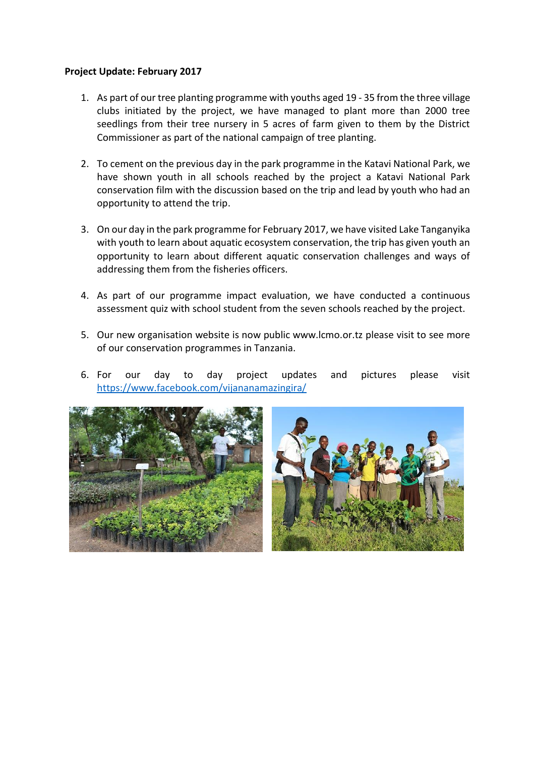## **Project Update: February 2017**

- 1. As part of our tree planting programme with youths aged 19 35 from the three village clubs initiated by the project, we have managed to plant more than 2000 tree seedlings from their tree nursery in 5 acres of farm given to them by the District Commissioner as part of the national campaign of tree planting.
- 2. To cement on the previous day in the park programme in the Katavi National Park, we have shown youth in all schools reached by the project a Katavi National Park conservation film with the discussion based on the trip and lead by youth who had an opportunity to attend the trip.
- 3. On our day in the park programme for February 2017, we have visited Lake Tanganyika with youth to learn about aquatic ecosystem conservation, the trip has given youth an opportunity to learn about different aquatic conservation challenges and ways of addressing them from the fisheries officers.
- 4. As part of our programme impact evaluation, we have conducted a continuous assessment quiz with school student from the seven schools reached by the project.
- 5. Our new organisation website is now public www.lcmo.or.tz please visit to see more of our conservation programmes in Tanzania.
- 6. For our day to day project updates and pictures please visit <https://www.facebook.com/vijananamazingira/>